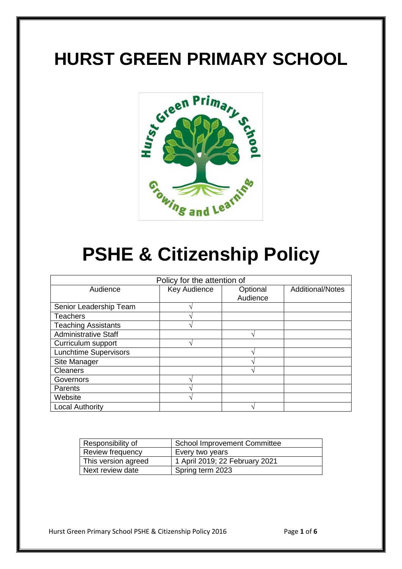## **HURST GREEN PRIMARY SCHOOL**



# **PSHE & Citizenship Policy**

| Policy for the attention of  |              |                      |                         |  |
|------------------------------|--------------|----------------------|-------------------------|--|
| Audience                     | Key Audience | Optional<br>Audience | <b>Additional/Notes</b> |  |
| Senior Leadership Team       |              |                      |                         |  |
| <b>Teachers</b>              |              |                      |                         |  |
| <b>Teaching Assistants</b>   |              |                      |                         |  |
| <b>Administrative Staff</b>  |              |                      |                         |  |
| Curriculum support           |              |                      |                         |  |
| <b>Lunchtime Supervisors</b> |              |                      |                         |  |
| Site Manager                 |              |                      |                         |  |
| <b>Cleaners</b>              |              |                      |                         |  |
| Governors                    |              |                      |                         |  |
| Parents                      |              |                      |                         |  |
| Website                      |              |                      |                         |  |
| <b>Local Authority</b>       |              |                      |                         |  |

| Responsibility of   | School Improvement Committee   |  |  |
|---------------------|--------------------------------|--|--|
| Review frequency    | Every two years                |  |  |
| This version agreed | 1 April 2019; 22 February 2021 |  |  |
| Next review date    | Spring term 2023               |  |  |

Hurst Green Primary School PSHE & Citizenship Policy 2016 Page **1** of **6**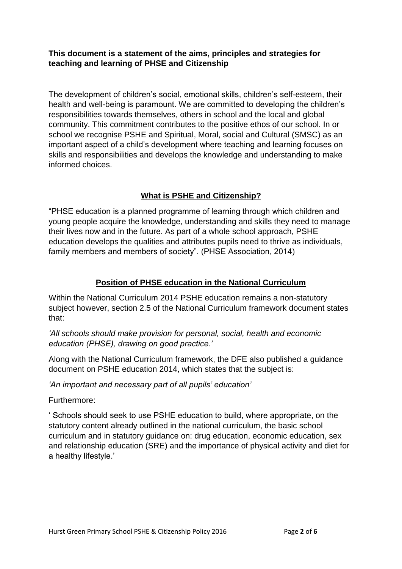#### **This document is a statement of the aims, principles and strategies for teaching and learning of PHSE and Citizenship**

The development of children's social, emotional skills, children's self-esteem, their health and well-being is paramount. We are committed to developing the children's responsibilities towards themselves, others in school and the local and global community. This commitment contributes to the positive ethos of our school. In or school we recognise PSHE and Spiritual, Moral, social and Cultural (SMSC) as an important aspect of a child's development where teaching and learning focuses on skills and responsibilities and develops the knowledge and understanding to make informed choices.

#### **What is PSHE and Citizenship?**

"PHSE education is a planned programme of learning through which children and young people acquire the knowledge, understanding and skills they need to manage their lives now and in the future. As part of a whole school approach, PSHE education develops the qualities and attributes pupils need to thrive as individuals, family members and members of society". (PHSE Association, 2014)

#### **Position of PHSE education in the National Curriculum**

Within the National Curriculum 2014 PSHE education remains a non-statutory subject however, section 2.5 of the National Curriculum framework document states that:

*'All schools should make provision for personal, social, health and economic education (PHSE), drawing on good practice.'*

Along with the National Curriculum framework, the DFE also published a guidance document on PSHE education 2014, which states that the subject is:

*'An important and necessary part of all pupils' education'*

Furthermore:

' Schools should seek to use PSHE education to build, where appropriate, on the statutory content already outlined in the national curriculum, the basic school curriculum and in statutory guidance on: drug education, economic education, sex and relationship education (SRE) and the importance of physical activity and diet for a healthy lifestyle.'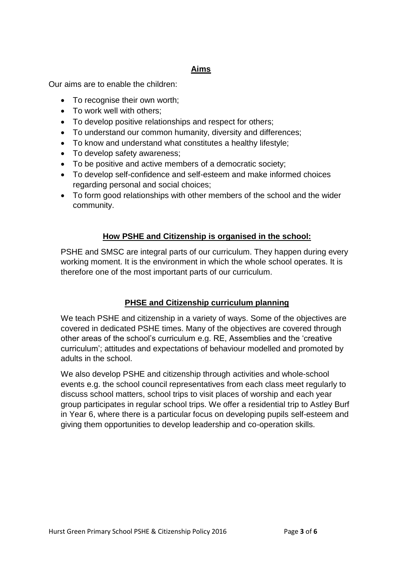#### **Aims**

Our aims are to enable the children:

- To recognise their own worth:
- To work well with others;
- To develop positive relationships and respect for others;
- To understand our common humanity, diversity and differences;
- To know and understand what constitutes a healthy lifestyle;
- To develop safety awareness;
- To be positive and active members of a democratic society;
- To develop self-confidence and self-esteem and make informed choices regarding personal and social choices;
- To form good relationships with other members of the school and the wider community.

## **How PSHE and Citizenship is organised in the school:**

PSHE and SMSC are integral parts of our curriculum. They happen during every working moment. It is the environment in which the whole school operates. It is therefore one of the most important parts of our curriculum.

## **PHSE and Citizenship curriculum planning**

We teach PSHE and citizenship in a variety of ways. Some of the objectives are covered in dedicated PSHE times. Many of the objectives are covered through other areas of the school's curriculum e.g. RE, Assemblies and the 'creative curriculum'; attitudes and expectations of behaviour modelled and promoted by adults in the school.

We also develop PSHE and citizenship through activities and whole-school events e.g. the school council representatives from each class meet regularly to discuss school matters, school trips to visit places of worship and each year group participates in regular school trips. We offer a residential trip to Astley Burf in Year 6, where there is a particular focus on developing pupils self-esteem and giving them opportunities to develop leadership and co-operation skills.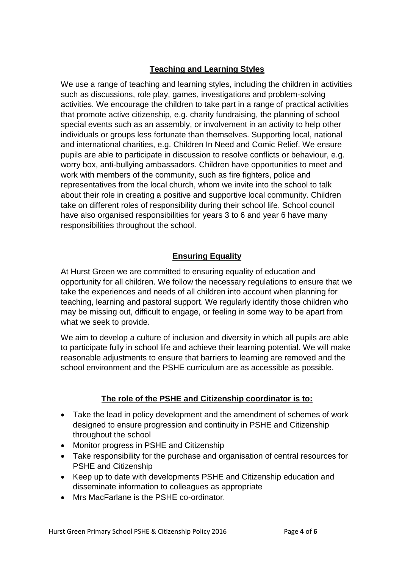## **Teaching and Learning Styles**

We use a range of teaching and learning styles, including the children in activities such as discussions, role play, games, investigations and problem-solving activities. We encourage the children to take part in a range of practical activities that promote active citizenship, e.g. charity fundraising, the planning of school special events such as an assembly, or involvement in an activity to help other individuals or groups less fortunate than themselves. Supporting local, national and international charities, e.g. Children In Need and Comic Relief. We ensure pupils are able to participate in discussion to resolve conflicts or behaviour, e.g. worry box, anti-bullying ambassadors. Children have opportunities to meet and work with members of the community, such as fire fighters, police and representatives from the local church, whom we invite into the school to talk about their role in creating a positive and supportive local community. Children take on different roles of responsibility during their school life. School council have also organised responsibilities for years 3 to 6 and year 6 have many responsibilities throughout the school.

## **Ensuring Equality**

At Hurst Green we are committed to ensuring equality of education and opportunity for all children. We follow the necessary regulations to ensure that we take the experiences and needs of all children into account when planning for teaching, learning and pastoral support. We regularly identify those children who may be missing out, difficult to engage, or feeling in some way to be apart from what we seek to provide.

We aim to develop a culture of inclusion and diversity in which all pupils are able to participate fully in school life and achieve their learning potential. We will make reasonable adjustments to ensure that barriers to learning are removed and the school environment and the PSHE curriculum are as accessible as possible.

## **The role of the PSHE and Citizenship coordinator is to:**

- Take the lead in policy development and the amendment of schemes of work designed to ensure progression and continuity in PSHE and Citizenship throughout the school
- Monitor progress in PSHE and Citizenship
- Take responsibility for the purchase and organisation of central resources for PSHE and Citizenship
- Keep up to date with developments PSHE and Citizenship education and disseminate information to colleagues as appropriate
- Mrs MacFarlane is the PSHE co-ordinator.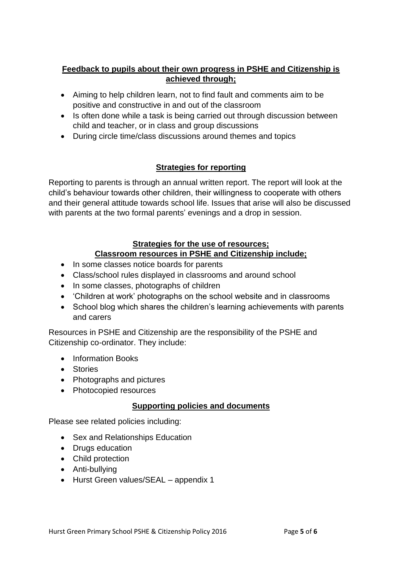#### **Feedback to pupils about their own progress in PSHE and Citizenship is achieved through;**

- Aiming to help children learn, not to find fault and comments aim to be positive and constructive in and out of the classroom
- Is often done while a task is being carried out through discussion between child and teacher, or in class and group discussions
- During circle time/class discussions around themes and topics

#### **Strategies for reporting**

Reporting to parents is through an annual written report. The report will look at the child's behaviour towards other children, their willingness to cooperate with others and their general attitude towards school life. Issues that arise will also be discussed with parents at the two formal parents' evenings and a drop in session.

## **Strategies for the use of resources; Classroom resources in PSHE and Citizenship include;**

- In some classes notice boards for parents
- Class/school rules displayed in classrooms and around school
- In some classes, photographs of children
- 'Children at work' photographs on the school website and in classrooms
- School blog which shares the children's learning achievements with parents and carers

Resources in PSHE and Citizenship are the responsibility of the PSHE and Citizenship co-ordinator. They include:

- Information Books
- **•** Stories
- Photographs and pictures
- Photocopied resources

#### **Supporting policies and documents**

Please see related policies including:

- Sex and Relationships Education
- Drugs education
- Child protection
- Anti-bullying
- Hurst Green values/SEAL appendix 1